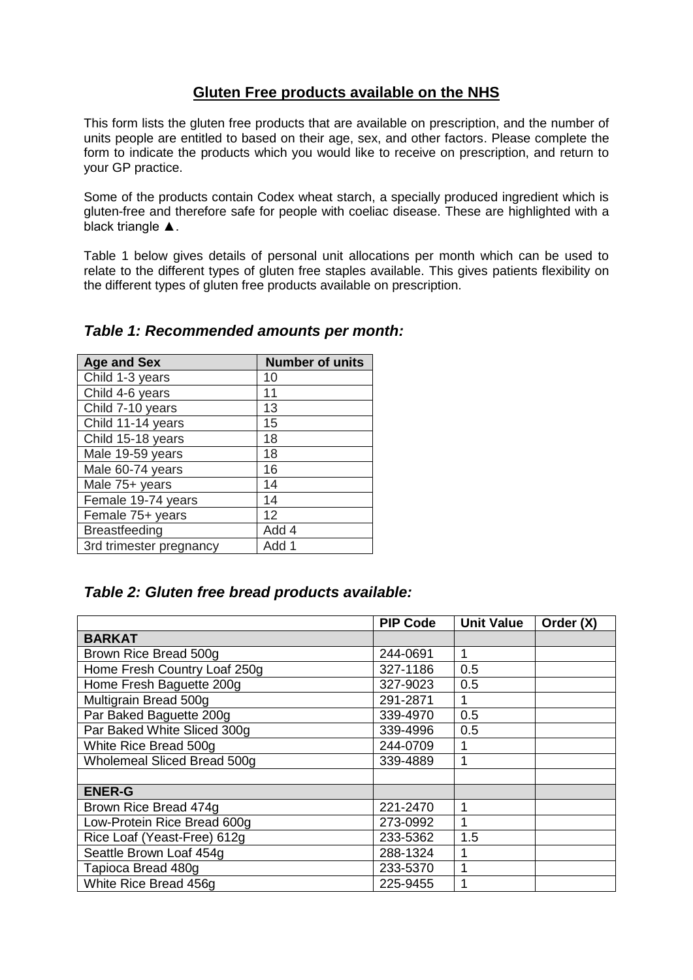## **Gluten Free products available on the NHS**

This form lists the gluten free products that are available on prescription, and the number of units people are entitled to based on their age, sex, and other factors. Please complete the form to indicate the products which you would like to receive on prescription, and return to your GP practice.

Some of the products contain Codex wheat starch, a specially produced ingredient which is gluten-free and therefore safe for people with coeliac disease. These are highlighted with a black triangle **▲**.

Table 1 below gives details of personal unit allocations per month which can be used to relate to the different types of gluten free staples available. This gives patients flexibility on the different types of gluten free products available on prescription.

| <b>Age and Sex</b>      | <b>Number of units</b> |
|-------------------------|------------------------|
| Child 1-3 years         | 10                     |
| Child 4-6 years         | 11                     |
| Child 7-10 years        | 13                     |
| Child 11-14 years       | 15                     |
| Child 15-18 years       | 18                     |
| Male 19-59 years        | 18                     |
| Male 60-74 years        | 16                     |
| Male 75+ years          | 14                     |
| Female 19-74 years      | 14                     |
| Female 75+ years        | 12                     |
| <b>Breastfeeding</b>    | Add 4                  |
| 3rd trimester pregnancy | Add 1                  |

## *Table 1: Recommended amounts per month:*

## *Table 2: Gluten free bread products available:*

|                              | <b>PIP Code</b> | <b>Unit Value</b> | Order (X) |
|------------------------------|-----------------|-------------------|-----------|
| <b>BARKAT</b>                |                 |                   |           |
| Brown Rice Bread 500g        | 244-0691        | 1                 |           |
| Home Fresh Country Loaf 250g | 327-1186        | 0.5               |           |
| Home Fresh Baguette 200g     | 327-9023        | 0.5               |           |
| Multigrain Bread 500g        | 291-2871        |                   |           |
| Par Baked Baguette 200g      | 339-4970        | 0.5               |           |
| Par Baked White Sliced 300g  | 339-4996        | 0.5               |           |
| White Rice Bread 500g        | 244-0709        |                   |           |
| Wholemeal Sliced Bread 500g  | 339-4889        | 1                 |           |
|                              |                 |                   |           |
| <b>ENER-G</b>                |                 |                   |           |
| Brown Rice Bread 474g        | 221-2470        | 1                 |           |
| Low-Protein Rice Bread 600g  | 273-0992        | 1                 |           |
| Rice Loaf (Yeast-Free) 612g  | 233-5362        | 1.5               |           |
| Seattle Brown Loaf 454g      | 288-1324        |                   |           |
| Tapioca Bread 480g           | 233-5370        | 1                 |           |
| White Rice Bread 456g        | 225-9455        |                   |           |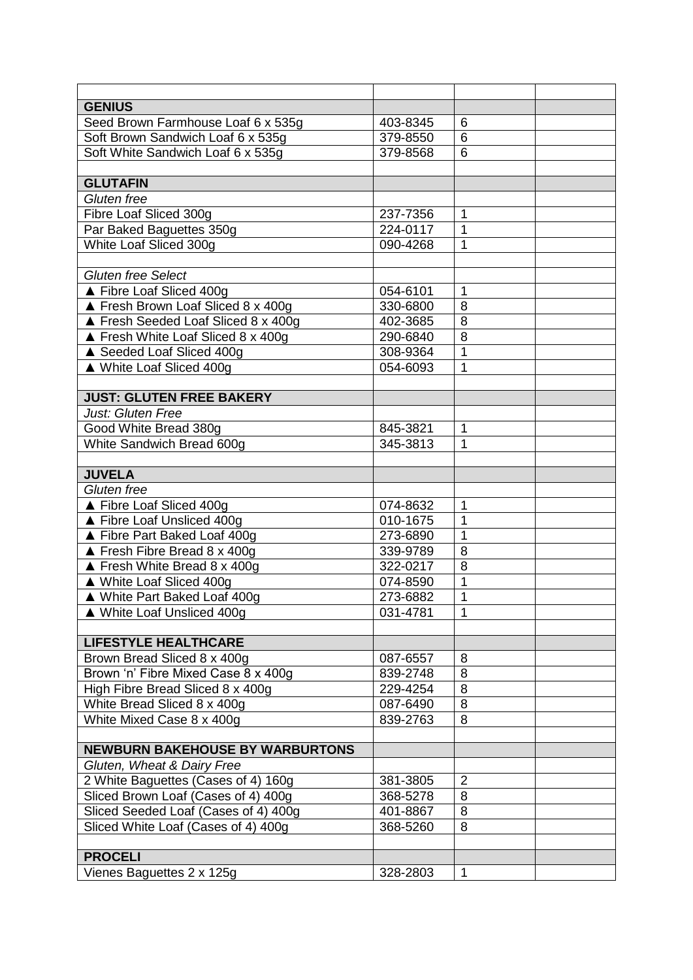| <b>GENIUS</b>                          |              |                |
|----------------------------------------|--------------|----------------|
| Seed Brown Farmhouse Loaf 6 x 535g     | 403-8345     | 6              |
| Soft Brown Sandwich Loaf 6 x 535g      | 379-8550     | 6              |
| Soft White Sandwich Loaf 6 x 535g      | 379-8568     | 6              |
|                                        |              |                |
| <b>GLUTAFIN</b>                        |              |                |
| Gluten free                            |              |                |
| Fibre Loaf Sliced 300g                 | 237-7356     | $\mathbf{1}$   |
| Par Baked Baguettes 350g               | 224-0117     | $\mathbf 1$    |
| White Loaf Sliced 300g                 | 090-4268     | 1              |
|                                        |              |                |
| <b>Gluten free Select</b>              |              |                |
| Fibre Loaf Sliced 400g                 | 054-6101     | 1              |
| ▲ Fresh Brown Loaf Sliced 8 x 400g     | 330-6800     | 8              |
| ▲ Fresh Seeded Loaf Sliced 8 x 400g    | 402-3685     | $\overline{8}$ |
| ▲ Fresh White Loaf Sliced 8 x 400g     | 290-6840     | 8              |
| ▲ Seeded Loaf Sliced 400g              | 308-9364     | 1              |
| ▲ White Loaf Sliced 400g               | 054-6093     | 1              |
|                                        |              |                |
| <b>JUST: GLUTEN FREE BAKERY</b>        |              |                |
| Just: Gluten Free                      |              |                |
| Good White Bread 380g                  | 845-3821     | 1              |
| White Sandwich Bread 600g              | $345 - 3813$ | 1              |
|                                        |              |                |
| <b>JUVELA</b>                          |              |                |
| Gluten free                            |              |                |
| ▲ Fibre Loaf Sliced 400g               | 074-8632     | $\mathbf{1}$   |
| ▲ Fibre Loaf Unsliced 400g             | 010-1675     | 1              |
| ▲ Fibre Part Baked Loaf 400g           | 273-6890     | 1              |
| ▲ Fresh Fibre Bread 8 x 400g           | 339-9789     | 8              |
| ▲ Fresh White Bread 8 x 400g           | 322-0217     | 8              |
| ▲ White Loaf Sliced 400g               | 074-8590     | 1              |
| ▲ White Part Baked Loaf 400g           | 273-6882     | $\mathbf 1$    |
| ▲ White Loaf Unsliced 400g             | 031-4781     | $\mathbf 1$    |
|                                        |              |                |
| <b>LIFESTYLE HEALTHCARE</b>            |              |                |
| Brown Bread Sliced 8 x 400g            | 087-6557     | 8              |
| Brown 'n' Fibre Mixed Case 8 x 400g    | 839-2748     | 8              |
| High Fibre Bread Sliced 8 x 400g       | 229-4254     | 8              |
| White Bread Sliced 8 x 400g            | 087-6490     | 8              |
| White Mixed Case 8 x 400g              | 839-2763     | 8              |
|                                        |              |                |
| <b>NEWBURN BAKEHOUSE BY WARBURTONS</b> |              |                |
| Gluten, Wheat & Dairy Free             |              |                |
| 2 White Baguettes (Cases of 4) 160g    | 381-3805     | $\overline{2}$ |
| Sliced Brown Loaf (Cases of 4) 400g    | 368-5278     | 8              |
| Sliced Seeded Loaf (Cases of 4) 400g   | 401-8867     | 8              |
| Sliced White Loaf (Cases of 4) 400g    | 368-5260     | 8              |
|                                        |              |                |
| <b>PROCELI</b>                         |              |                |
| Vienes Baguettes 2 x 125g              | 328-2803     | $\mathbf{1}$   |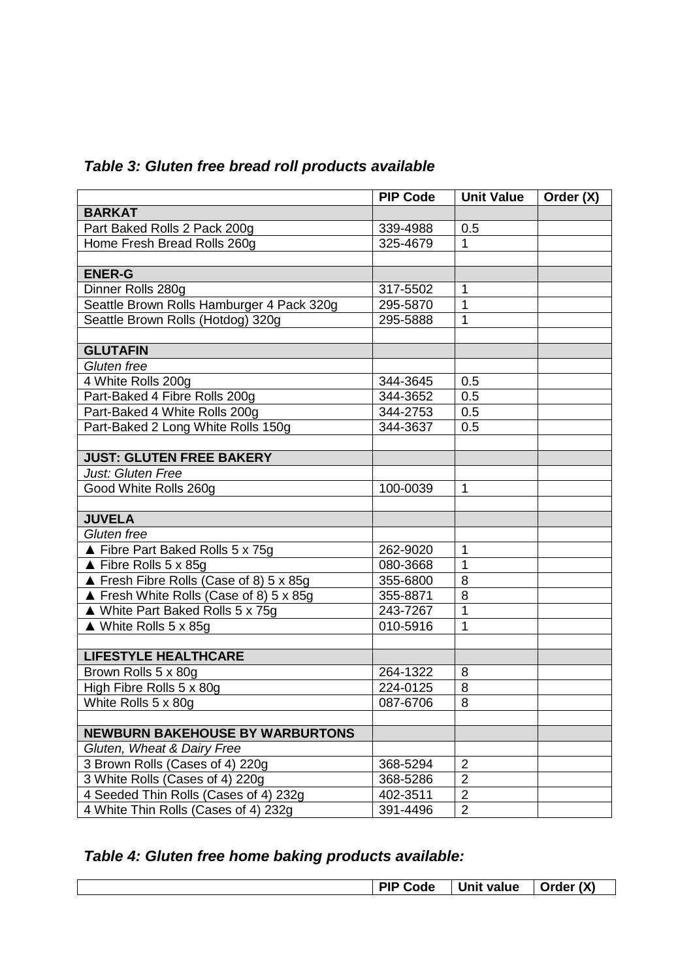|  |  | Table 3: Gluten free bread roll products available |  |
|--|--|----------------------------------------------------|--|
|  |  |                                                    |  |

|                                           | <b>PIP Code</b> | <b>Unit Value</b> | Order (X) |
|-------------------------------------------|-----------------|-------------------|-----------|
| <b>BARKAT</b>                             |                 |                   |           |
| Part Baked Rolls 2 Pack 200g              | 339-4988        | 0.5               |           |
| Home Fresh Bread Rolls 260g               | 325-4679        | 1                 |           |
|                                           |                 |                   |           |
| <b>ENER-G</b>                             |                 |                   |           |
| Dinner Rolls 280g                         | 317-5502        | $\mathbf 1$       |           |
| Seattle Brown Rolls Hamburger 4 Pack 320g | 295-5870        | $\overline{1}$    |           |
| Seattle Brown Rolls (Hotdog) 320g         | 295-5888        | 1                 |           |
|                                           |                 |                   |           |
| <b>GLUTAFIN</b>                           |                 |                   |           |
| Gluten free                               |                 |                   |           |
| 4 White Rolls 200g                        | 344-3645        | 0.5               |           |
| Part-Baked 4 Fibre Rolls 200g             | 344-3652        | 0.5               |           |
| Part-Baked 4 White Rolls 200g             | 344-2753        | 0.5               |           |
| Part-Baked 2 Long White Rolls 150g        | 344-3637        | 0.5               |           |
|                                           |                 |                   |           |
| <b>JUST: GLUTEN FREE BAKERY</b>           |                 |                   |           |
| Just: Gluten Free                         |                 |                   |           |
| Good White Rolls 260g                     | 100-0039        | $\mathbf{1}$      |           |
|                                           |                 |                   |           |
| <b>JUVELA</b>                             |                 |                   |           |
| Gluten free                               |                 |                   |           |
| ▲ Fibre Part Baked Rolls 5 x 75g          | 262-9020        | 1                 |           |
| $\triangle$ Fibre Rolls 5 x 85g           | 080-3668        | $\overline{1}$    |           |
| ▲ Fresh Fibre Rolls (Case of 8) 5 x 85g   | 355-6800        | 8                 |           |
| ▲ Fresh White Rolls (Case of 8) 5 x 85g   | 355-8871        | 8                 |           |
| ▲ White Part Baked Rolls 5 x 75g          | 243-7267        | 1                 |           |
| $\triangle$ White Rolls 5 x 85g           | 010-5916        | 1                 |           |
|                                           |                 |                   |           |
| <b>LIFESTYLE HEALTHCARE</b>               |                 |                   |           |
| Brown Rolls 5 x 80g                       | 264-1322        | 8                 |           |
| High Fibre Rolls 5 x 80g                  | 224-0125        | 8                 |           |
| White Rolls 5 x 80g                       | 087-6706        | 8                 |           |
|                                           |                 |                   |           |
| <b>NEWBURN BAKEHOUSE BY WARBURTONS</b>    |                 |                   |           |
| Gluten, Wheat & Dairy Free                |                 |                   |           |
| 3 Brown Rolls (Cases of 4) 220g           | 368-5294        | $\overline{2}$    |           |
| 3 White Rolls (Cases of 4) 220g           | 368-5286        | $\overline{2}$    |           |
| 4 Seeded Thin Rolls (Cases of 4) 232g     | 402-3511        | $\overline{2}$    |           |
| 4 White Thin Rolls (Cases of 4) 232q      | 391-4496        | $\overline{2}$    |           |

## *Table 4: Gluten free home baking products available:*

| Order $(X)$ |          |            |  |
|-------------|----------|------------|--|
|             | PIP Code | Unit value |  |